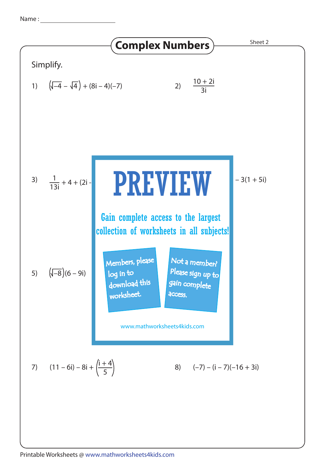